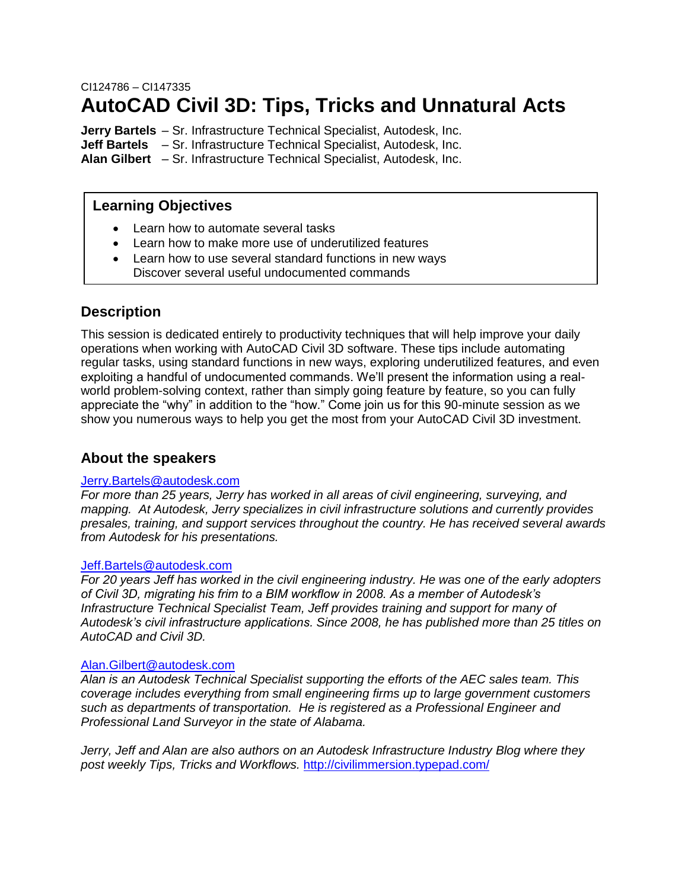## CI124786 – CI147335 **AutoCAD Civil 3D: Tips, Tricks and Unnatural Acts**

**Jerry Bartels** – Sr. Infrastructure Technical Specialist, Autodesk, Inc. **Jeff Bartels** – Sr. Infrastructure Technical Specialist, Autodesk, Inc. **Alan Gilbert** – Sr. Infrastructure Technical Specialist, Autodesk, Inc.

### **Learning Objectives**

- Learn how to automate several tasks
- Learn how to make more use of underutilized features
- Learn how to use several standard functions in new ways Discover several useful undocumented commands

### **Description**

This session is dedicated entirely to productivity techniques that will help improve your daily operations when working with AutoCAD Civil 3D software. These tips include automating regular tasks, using standard functions in new ways, exploring underutilized features, and even exploiting a handful of undocumented commands. We'll present the information using a realworld problem-solving context, rather than simply going feature by feature, so you can fully appreciate the "why" in addition to the "how." Come join us for this 90-minute session as we show you numerous ways to help you get the most from your AutoCAD Civil 3D investment.

### **About the speakers**

### [Jerry.Bartels@autodesk.com](mailto:Jerry.Bartels@autodesk.com)

*For more than 25 years, Jerry has worked in all areas of civil engineering, surveying, and mapping. At Autodesk, Jerry specializes in civil infrastructure solutions and currently provides presales, training, and support services throughout the country. He has received several awards from Autodesk for his presentations.*

#### [Jeff.Bartels@autodesk.com](mailto:Jeff.Bartels@autodesk.com)

*For 20 years Jeff has worked in the civil engineering industry. He was one of the early adopters of Civil 3D, migrating his frim to a BIM workflow in 2008. As a member of Autodesk's Infrastructure Technical Specialist Team, Jeff provides training and support for many of Autodesk's civil infrastructure applications. Since 2008, he has published more than 25 titles on AutoCAD and Civil 3D.*

#### [Alan.Gilbert@autodesk.com](mailto:Alan.Gilbert@autodesk.com)

*Alan is an Autodesk Technical Specialist supporting the efforts of the AEC sales team. This coverage includes everything from small engineering firms up to large government customers such as departments of transportation. He is registered as a Professional Engineer and Professional Land Surveyor in the state of Alabama.*

*Jerry, Jeff and Alan are also authors on an Autodesk Infrastructure Industry Blog where they post weekly Tips, Tricks and Workflows.* <http://civilimmersion.typepad.com/>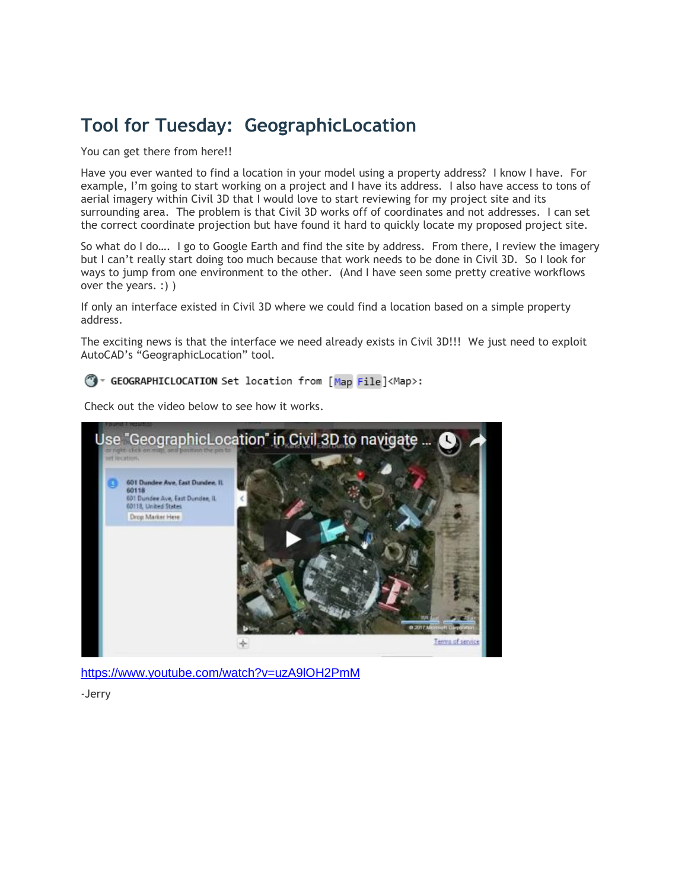# **Tool for Tuesday: [GeographicLocation](http://civilimmersion.typepad.com/civil_immersion/2017/05/tool-for-tuesday-geographiclocation.html)**

You can get there from here!!

Have you ever wanted to find a location in your model using a property address? I know I have. For example, I'm going to start working on a project and I have its address. I also have access to tons of aerial imagery within Civil 3D that I would love to start reviewing for my project site and its surrounding area. The problem is that Civil 3D works off of coordinates and not addresses. I can set the correct coordinate projection but have found it hard to quickly locate my proposed project site.

So what do I do…. I go to Google Earth and find the site by address. From there, I review the imagery but I can't really start doing too much because that work needs to be done in Civil 3D. So I look for ways to jump from one environment to the other. (And I have seen some pretty creative workflows over the years. :) )

If only an interface existed in Civil 3D where we could find a location based on a simple property address.

The exciting news is that the interface we need already exists in Civil 3D!!! We just need to exploit AutoCAD's "GeographicLocation" tool.

GeoGRAPHICLOCATION Set location from [Map File]<Map>:

Check out the video below to see how it works.



<https://www.youtube.com/watch?v=uzA9lOH2PmM>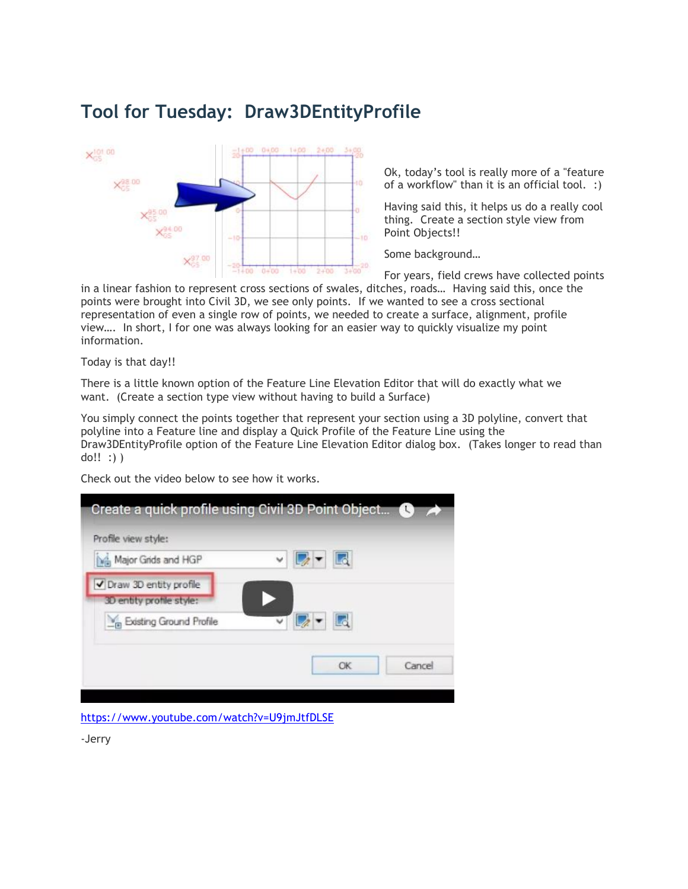# **Tool for Tuesday: Draw3DEntityProfile**



Ok, today's tool is really more of a "feature of a workflow" than it is an official tool. :)

Having said this, it helps us do a really cool thing. Create a section style view from Point Objects!!

Some background…

For years, field crews have collected points

in a linear fashion to represent cross sections of swales, ditches, roads… Having said this, once the points were brought into Civil 3D, we see only points. If we wanted to see a cross sectional representation of even a single row of points, we needed to create a surface, alignment, profile view…. In short, I for one was always looking for an easier way to quickly visualize my point information.

Today is that day!!

There is a little known option of the Feature Line Elevation Editor that will do exactly what we want. (Create a section type view without having to build a Surface)

You simply connect the points together that represent your section using a 3D polyline, convert that polyline into a Feature line and display a Quick Profile of the Feature Line using the Draw3DEntityProfile option of the Feature Line Elevation Editor dialog box. (Takes longer to read than do!! :) )

Check out the video below to see how it works.



<https://www.youtube.com/watch?v=U9jmJtfDLSE>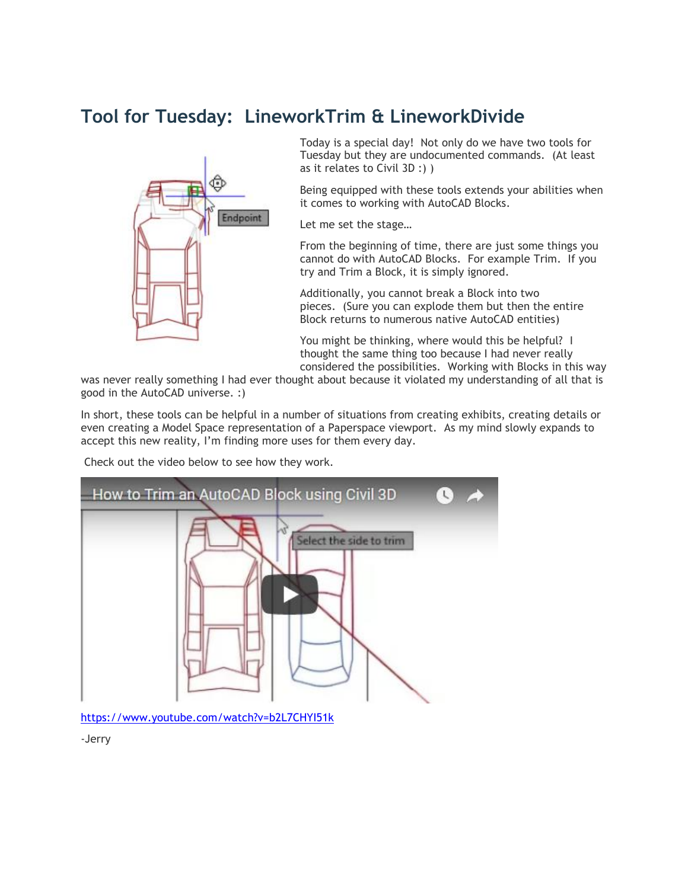# **Tool for Tuesday: LineworkTrim & LineworkDivide**



Today is a special day! Not only do we have two tools for Tuesday but they are undocumented commands. (At least as it relates to Civil 3D :) )

Being equipped with these tools extends your abilities when it comes to working with AutoCAD Blocks.

Let me set the stage…

From the beginning of time, there are just some things you cannot do with AutoCAD Blocks. For example Trim. If you try and Trim a Block, it is simply ignored.

Additionally, you cannot break a Block into two pieces. (Sure you can explode them but then the entire Block returns to numerous native AutoCAD entities)

You might be thinking, where would this be helpful? I thought the same thing too because I had never really considered the possibilities. Working with Blocks in this way

was never really something I had ever thought about because it violated my understanding of all that is good in the AutoCAD universe. :)

In short, these tools can be helpful in a number of situations from creating exhibits, creating details or even creating a Model Space representation of a Paperspace viewport. As my mind slowly expands to accept this new reality, I'm finding more uses for them every day.

Check out the video below to see how they work.



<https://www.youtube.com/watch?v=b2L7CHYI51k>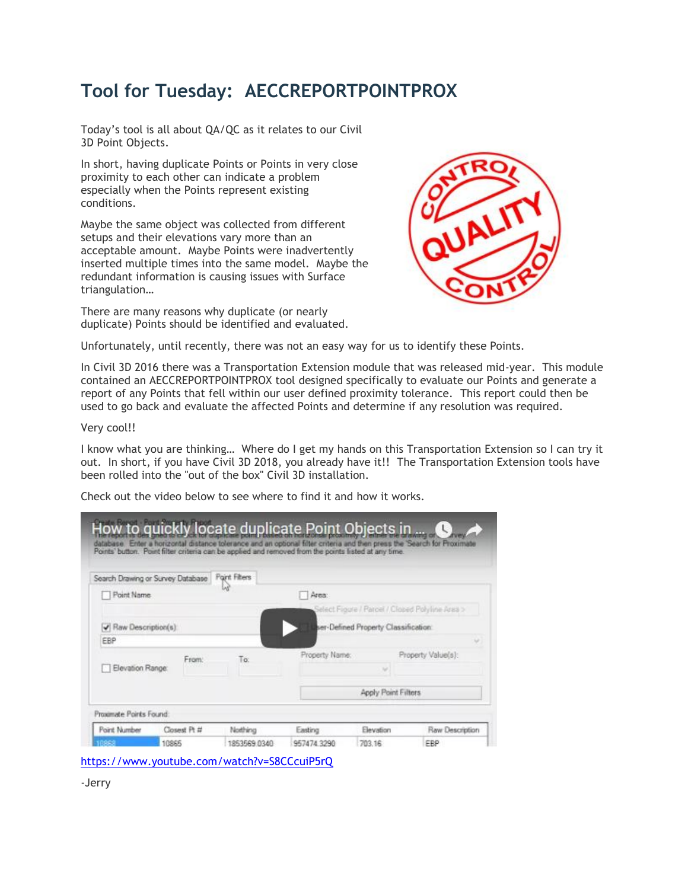# **Tool for Tuesday: AECCREPORTPOINTPROX**

Today's tool is all about QA/QC as it relates to our Civil 3D Point Objects.

In short, having duplicate Points or Points in very close proximity to each other can indicate a problem especially when the Points represent existing conditions.

Maybe the same object was collected from different setups and their elevations vary more than an acceptable amount. Maybe Points were inadvertently inserted multiple times into the same model. Maybe the redundant information is causing issues with Surface triangulation…

There are many reasons why duplicate (or nearly duplicate) Points should be identified and evaluated.



Unfortunately, until recently, there was not an easy way for us to identify these Points.

In Civil 3D 2016 there was a Transportation Extension module that was released mid-year. This module contained an AECCREPORTPOINTPROX tool designed specifically to evaluate our Points and generate a report of any Points that fell within our user defined proximity tolerance. This report could then be used to go back and evaluate the affected Points and determine if any resolution was required.

#### Very cool!!

I know what you are thinking… Where do I get my hands on this Transportation Extension so I can try it out. In short, if you have Civil 3D 2018, you already have it!! The Transportation Extension tools have been rolled into the "out of the box" Civil 3D installation.

Check out the video below to see where to find it and how it works.

| Search Drawing or Survey Database       |              | Point Filters |                |                                     |                                                 |
|-----------------------------------------|--------------|---------------|----------------|-------------------------------------|-------------------------------------------------|
| Point Name                              |              |               | Area:          |                                     |                                                 |
|                                         |              |               |                |                                     | Select Figure / Parcel / Clobed Polyline Area > |
| $\blacktriangledown$ Raw Description(s) |              |               |                | er-Defined Property Classification: |                                                 |
| EBP                                     |              |               |                |                                     | w.                                              |
|                                         | From:        | To:           | Property Name: |                                     | Property Value(s):                              |
| Elevation Range:                        |              |               |                |                                     |                                                 |
|                                         |              |               |                | <b>Apply Point Filters</b>          |                                                 |
| Proximate Points Found.                 |              |               |                |                                     |                                                 |
| Point Number                            | Closest Pt # | Northing      | Easting        | Elevation                           | Raw Description                                 |
|                                         | 10865        | 1853569 0340  | 957474.3290    | 703.16                              | EBP                                             |

<https://www.youtube.com/watch?v=S8CCcuiP5rQ>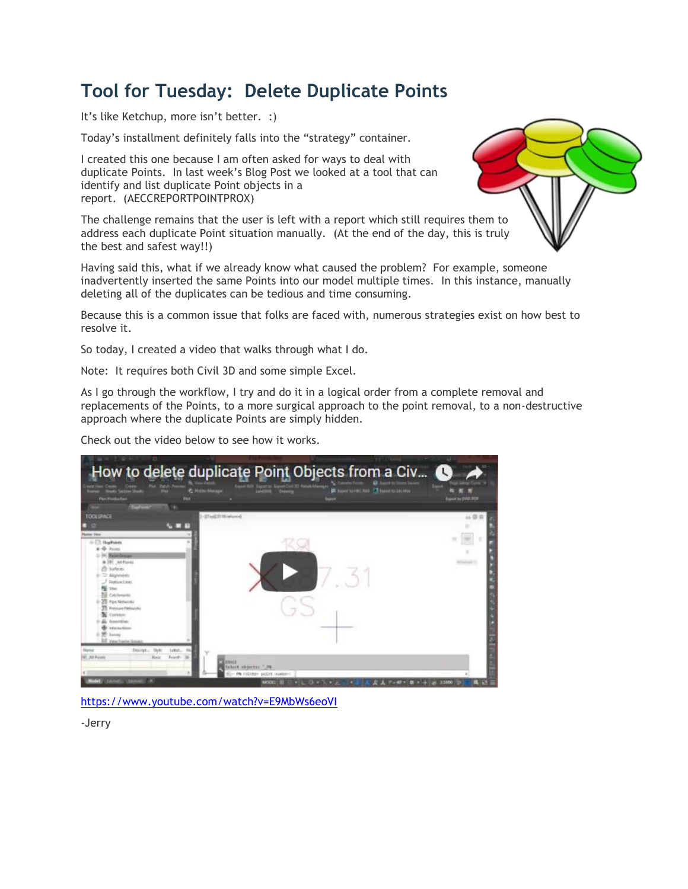# **Tool for Tuesday: Delete Duplicate Points**

It's like Ketchup, more isn't better. :)

Today's installment definitely falls into the "strategy" container.

I created this one because I am often asked for ways to deal with duplicate Points. In last week's Blog Post we looked at a tool that can identify and list duplicate Point objects in a report. (AECCREPORTPOINTPROX)

The challenge remains that the user is left with a report which still requires them to address each duplicate Point situation manually. (At the end of the day, [this is truly](http://civilimmersion.typepad.com/.a/6a01b8d19bce96970c01bb09d0c89b970d-pi)  the best and safest way!!)

Having said this, what if we already know what caused the problem? For example, someone inadvertently inserted the same Points into our model multiple times. In this instance, manually deleting all of the duplicates can be tedious and time consuming.

Because this is a common issue that folks are faced with, numerous strategies exist on how best to resolve it.

So today, I created a video that walks through what I do.

Note: It requires both Civil 3D and some simple Excel.

As I go through the workflow, I try and do it in a logical order from a complete removal and replacements of the Points, to a more surgical approach to the point removal, to a non-destructive approach where the duplicate Points are simply hidden.

Check out the video below to see how it works.



<https://www.youtube.com/watch?v=E9MbWs6eoVI>

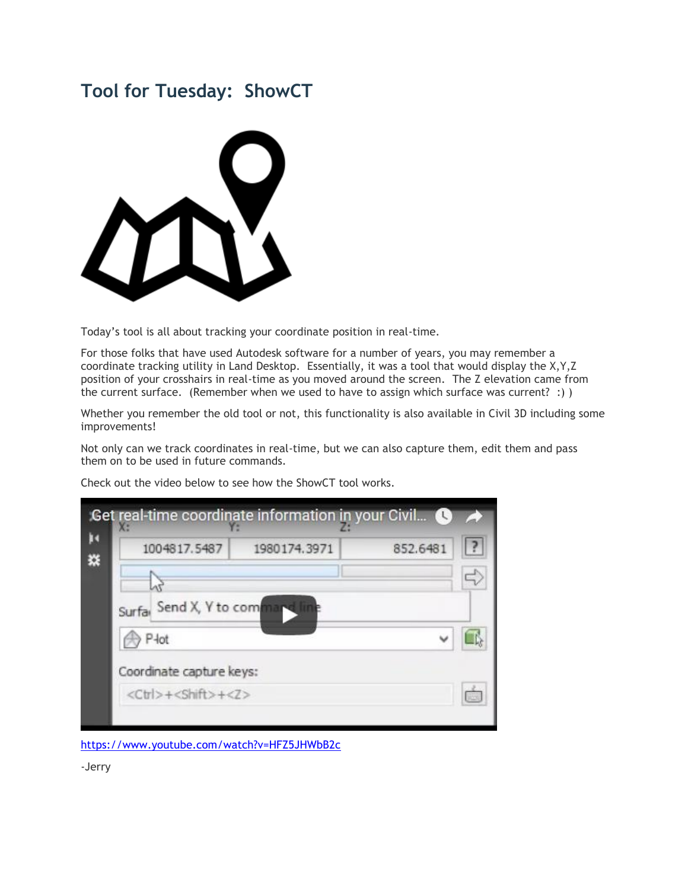## **Tool for Tuesday: ShowCT**



Today's tool is all about tracking your coordinate position in real-time.

For those folks that have used Autodesk software for a number of years, you may remember a coordinate tracking utility in Land Desktop. Essentially, it was a tool that would display the X,Y,Z position of your crosshairs in real-time as you moved around the screen. The Z elevation came from the current surface. (Remember when we used to have to assign which surface was current? :) )

Whether you remember the old tool or not, this functionality is also available in Civil 3D including some improvements!

Not only can we track coordinates in real-time, but we can also capture them, edit them and pass them on to be used in future commands.

Check out the video below to see how the ShowCT tool works.

| 1004817.5487                          | 1980174.3971 | 852.6481 |
|---------------------------------------|--------------|----------|
|                                       |              |          |
| Surfa <sub>l</sub> Send X, Y to comma |              |          |
|                                       |              |          |
| P <sub>łot</sub>                      |              |          |
| Coordinate capture keys:              |              |          |
|                                       |              |          |

<https://www.youtube.com/watch?v=HFZ5JHWbB2c>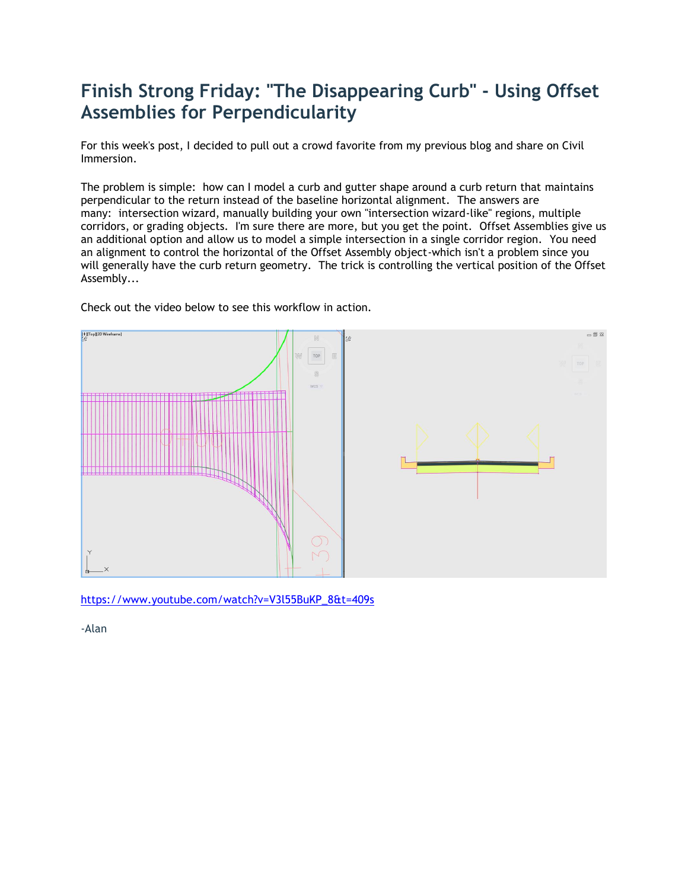# **Finish Strong Friday: "The Disappearing Curb" - Using Offset Assemblies for Perpendicularity**

For this week's post, I decided to pull out a crowd favorite from my previous blog and share on Civil Immersion.

The problem is simple: how can I model a curb and gutter shape around a curb return that maintains perpendicular to the return instead of the baseline horizontal alignment. The answers are many: intersection wizard, manually building your own "intersection wizard-like" regions, multiple corridors, or grading objects. I'm sure there are more, but you get the point. Offset Assemblies give us an additional option and allow us to model a simple intersection in a single corridor region. You need an alignment to control the horizontal of the Offset Assembly object-which isn't a problem since you will generally have the curb return geometry. The trick is controlling the vertical position of the Offset Assembly...



Check out the video below to see this workflow in action.

[https://www.youtube.com/watch?v=V3l55BuKP\\_8&t=409s](https://www.youtube.com/watch?v=V3l55BuKP_8&t=409s)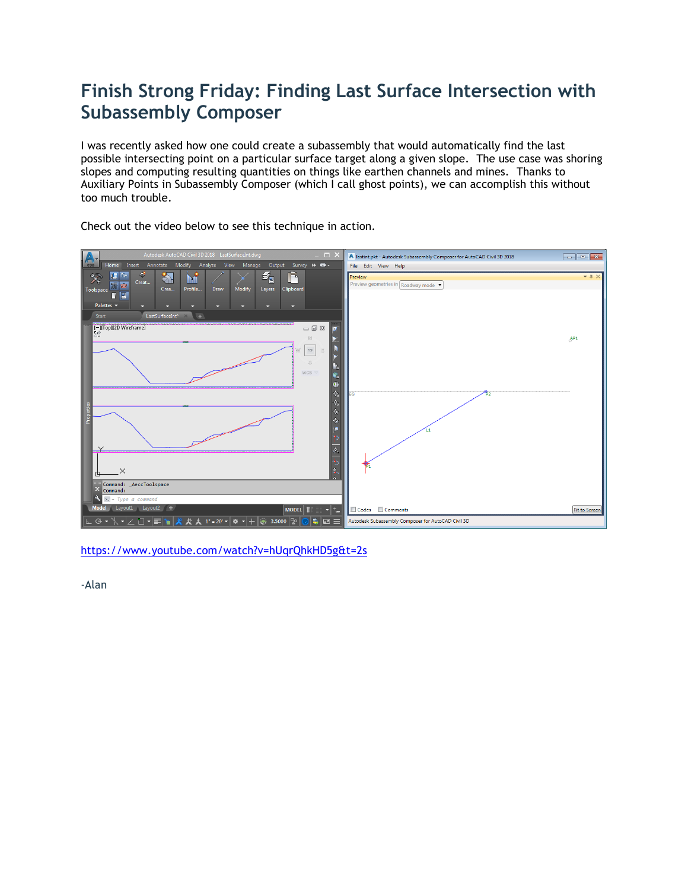# **Finish Strong Friday: Finding Last Surface Intersection with Subassembly Composer**

I was recently asked how one could create a subassembly that would automatically find the last possible intersecting point on a particular surface target along a given slope. The use case was shoring slopes and computing resulting quantities on things like earthen channels and mines. Thanks to Auxiliary Points in Subassembly Composer (which I call ghost points), we can accomplish this without too much trouble.



Check out the video below to see this technique in action.

<https://www.youtube.com/watch?v=hUqrQhkHD5g&t=2s>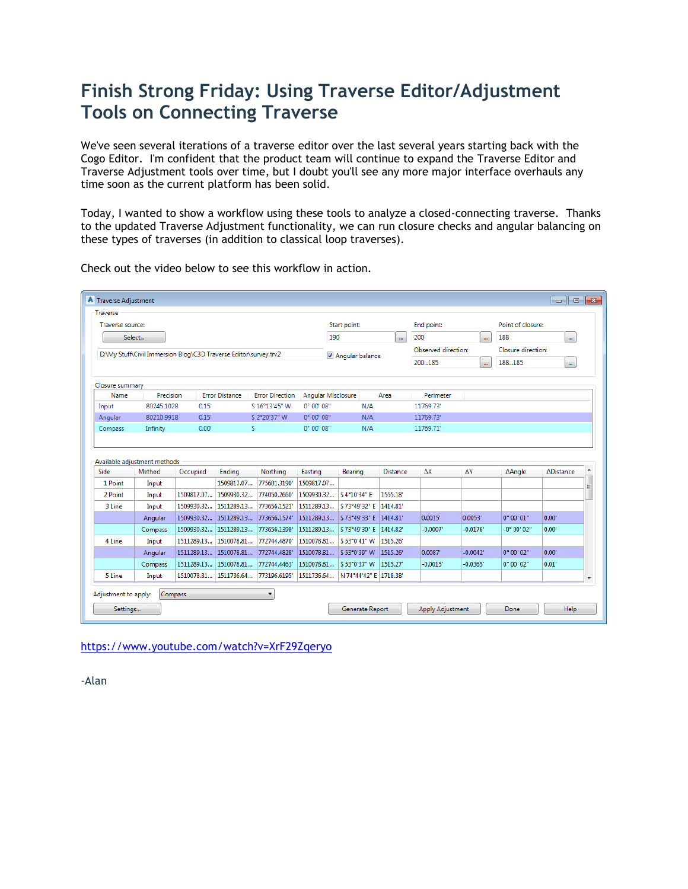# **Finish Strong Friday: Using Traverse Editor/Adjustment Tools on Connecting Traverse**

We've seen several iterations of a traverse editor over the last several years starting back with the Cogo Editor. I'm confident that the product team will continue to expand the Traverse Editor and Traverse Adjustment tools over time, but I doubt you'll see any more major interface overhauls any time soon as the current platform has been solid.

Today, I wanted to show a workflow using these tools to analyze a closed-connecting traverse. Thanks to the updated Traverse Adjustment functionality, we can run closure checks and angular balancing on these types of traverses (in addition to classical loop traverses).

| Traverse source:                                                 |                              |            |                       |                        |                     | Start point:           |                      | End point:          |                      | Point of closure:  |                  |          |
|------------------------------------------------------------------|------------------------------|------------|-----------------------|------------------------|---------------------|------------------------|----------------------|---------------------|----------------------|--------------------|------------------|----------|
|                                                                  | Select                       |            |                       |                        | 190                 |                        |                      | 200                 |                      | 188                |                  |          |
|                                                                  |                              |            |                       |                        |                     |                        | $\ddot{\phantom{1}}$ |                     | $\ddot{\phantom{a}}$ |                    | $\mathbf{m}$     |          |
| D:\My Stuff\Civil Immersion Blog\C3D Traverse Editor\survey.trv2 |                              |            |                       |                        |                     | Angular balance        |                      | Observed direction: |                      | Closure direction: |                  |          |
|                                                                  |                              |            |                       |                        |                     |                        |                      | 200185              | $\ddot{\phantom{a}}$ | 188185             | $\mathbf{m}$     |          |
| Closure summary                                                  |                              |            |                       |                        |                     |                        |                      |                     |                      |                    |                  |          |
| Name                                                             | Precision                    |            | <b>Error Distance</b> | <b>Error Direction</b> | Angular Misclosure  |                        | Area                 | <b>Perimeter</b>    |                      |                    |                  |          |
| Input                                                            | 80245.1028                   | 0.15'      |                       | S 16°13'45" W          | $0^{\circ}$ 00' 08" | N/A                    |                      | 11769.73'           |                      |                    |                  |          |
| Angular                                                          | 80210.9918                   | 0.15'      |                       | S 2°20'37" W           | $0^{\circ}$ 00' 08" | N/A                    |                      | 11769.73'           |                      |                    |                  |          |
| Compass                                                          | Infinity                     | 0.00'      | s                     |                        | 0° 00' 08"          | N/A                    |                      | 11769.71'           |                      |                    |                  |          |
|                                                                  | Available adjustment methods |            |                       |                        |                     |                        |                      |                     |                      |                    |                  |          |
| Side                                                             | Method                       | Occupied   | <b>Endina</b>         | Northing               | Easting             | Bearing                | <b>Distance</b>      | ΔX                  | ΔY                   | <b>Angle</b>       | <b>ADistance</b> |          |
| 1 Point                                                          | Input                        |            | 1509817.07            | 775601.3190            | 1509817.07          |                        |                      |                     |                      |                    |                  |          |
| 2 Point                                                          | Input                        | 1509817.07 | 1509930.32            | 774050.2660            | 1509930.32          | S 4°10'34" E           | 1555.18*             |                     |                      |                    |                  | $\equiv$ |
| 3 Line                                                           | Input                        | 1509930.32 | 1511289.13            | 773656.1521            | 1511289.13          | S 73°49'32" E 1414.81' |                      |                     |                      |                    |                  |          |
|                                                                  | Angular                      |            | 1509930.32 1511289.13 | 773656.1574            | 1511289.13          | S 73°49'33" E 1414.81' |                      | 0.0015'             | 0.0053'              | 0° 00' 01"         | 0.00'            |          |
|                                                                  | Compass                      | 1509930.32 | 1511289.13            | 773656.1398            | 1511289.13          | S 73°49'30" E 1414.82' |                      | $-0.0007$           | -0.0176'             | -0° 00' 02"        | 0.00'            |          |
| 4 Line                                                           | Input                        | 1511289.13 | 1510078.81            | 772744.4870            | 1510078.81          | S 53°0'41" W 1515.26'  |                      |                     |                      |                    |                  |          |
|                                                                  | Angular                      | 1511289.13 | 1510078.81            | 772744.4828            | 1510078.81          | S 53°0'39" W 1515.26'  |                      | 0.0087              | $-0.0042$            | 0° 00' 02"         | 0.00'            |          |
|                                                                  | Compass                      | 1511289.13 | 1510078.81            | 772744.4463            | 1510078.81          | S 53°0'37" W 1515.27"  |                      | $-0.0015'$          | $-0.0365$            | 0° 00' 02"         | 0.01'            |          |
| 5 Line                                                           | Input                        |            | 1510078.81 1511736.64 | 773196.6195            | 1511736.64          | N 74°44'42" E 1718.38' |                      |                     |                      |                    |                  |          |

Check out the video below to see this workflow in action.

<https://www.youtube.com/watch?v=XrF29Zqeryo>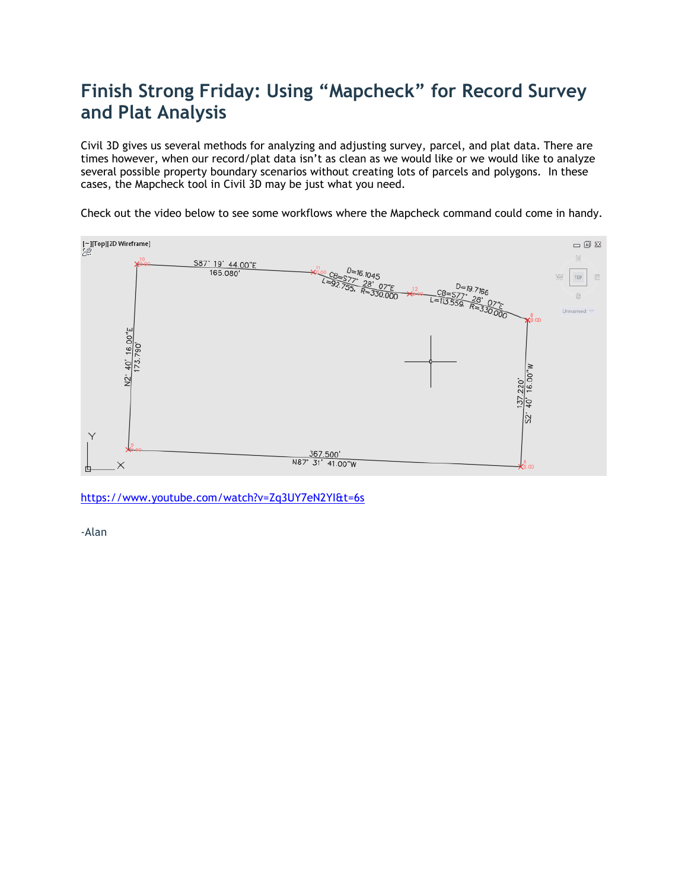# **Finish Strong Friday: Using "Mapcheck" for Record Survey and Plat Analysis**

Civil 3D gives us several methods for analyzing and adjusting survey, parcel, and plat data. There are times however, when our record/plat data isn't as clean as we would like or we would like to analyze several possible property boundary scenarios without creating lots of parcels and polygons. In these cases, the Mapcheck tool in Civil 3D may be just what you need.

Check out the video below to see some workflows where the Mapcheck command could come in handy.



<https://www.youtube.com/watch?v=Zq3UY7eN2YI&t=6s>